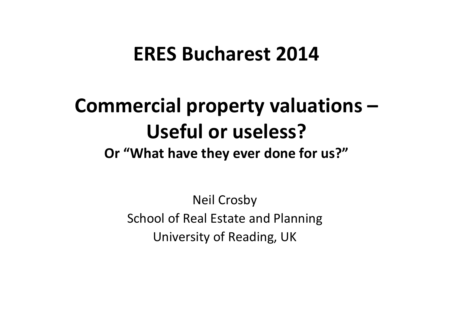#### **ERES Bucharest 2014**

#### **Commercial property valuations – Useful or useless?Or "What have they ever done for us?"**

Neil Crosby School of Real Estate and Planning University of Reading, UK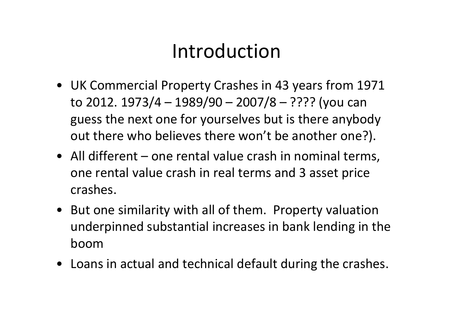## Introduction

- UK Commercial Property Crashes in 43 years from 1971 to 2012. 1973/4 – 1989/90 – 2007/8 – ???? (you can guess the next one for yourselves but is there anybody out there who believes there won't be another one?).
- All different one rental value crash in nominal terms, one rental value crash in real terms and 3 asset price crashes.
- But one similarity with all of them. Property valuation underpinned substantial increases in bank lending in the boom
- Loans in actual and technical default during the crashes.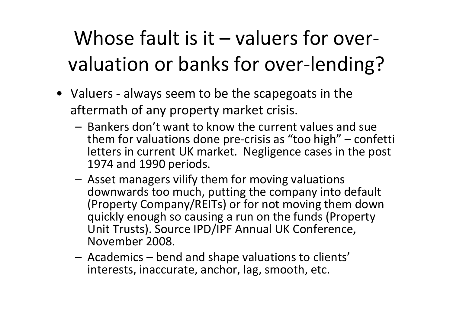Whose fault is it – valuers for overvaluation or banks for over‐lending?

- Valuers ‐ always seem to be the scapegoats in the aftermath of any property market crisis.
	- Bankers don't want to know the current values and sue them for valuations done pre‐crisis as "too high" – confetti letters in current UK market. Negligence cases in the post 1974 and 1990 periods.
	- Asset managers vilify them for moving valuations downwards too much, putting the company into default (Property Company/REITs) or for not moving them down quickly enough so causing <sup>a</sup> run on the funds (Property Unit Trusts). Source IPD/IPF Annual UK Conference, November 2008.
	- Academics bend and shape valuations to clients' interests, inaccurate, anchor, lag, smooth, etc.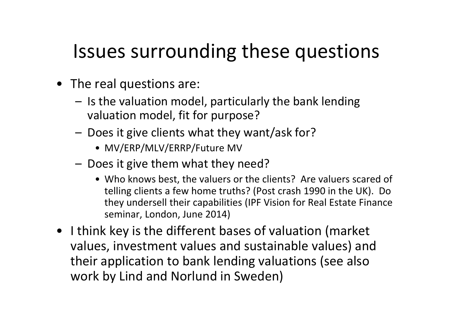## Issues surrounding these questions

- The real questions are:
	- Is the valuation model, particularly the bank lending valuation model, fit for purpose?
	- Does it give clients what they want/ask for?
		- MV/ERP/MLV/ERRP/Future MV
	- Does it give them what they need?
		- Who knows best, the valuers or the clients? Are valuers scared of telling clients <sup>a</sup> few home truths? (Post crash 1990 in the UK). Do they undersell their capabilities (IPF Vision for Real Estate Finance seminar, London, June 2014)
- I think key is the different bases of valuation (market values, investment values and sustainable values) and their application to bank lending valuations (see also work by Lind and Norlund in Sweden)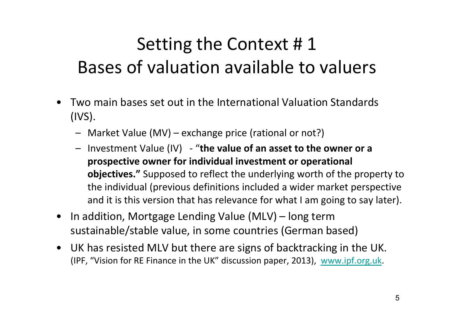## Setting the Context # 1 Bases of valuation available to valuers

- • Two main bases set out in the International Valuation Standards (IVS).
	- Market Value (MV) exchange price (rational or not?)
	- – Investment Value (IV) ‐ "**the value of an asset to the owner or <sup>a</sup> prospective owner for individual investment or operational objectives."** Supposed to reflect the underlying worth of the property to the individual (previous definitions included <sup>a</sup> wider market perspective and it is this version that has relevance for what I am going to say later).
- • In addition, Mortgage Lending Value (MLV) – long term sustainable/stable value, in some countries (German based)
- UK has resisted MLV but there are signs of backtracking in the UK. (IPF, "Vision for RE Finance in the UK" discussion paper, 2013), www.ipf.org.uk.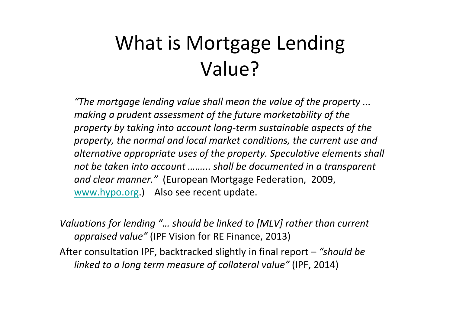# What is Mortgage Lending Value?

*"The mortgage lending value shall mean the value of the property ... making <sup>a</sup> prudent assessment of the future marketability of the property by taking into account long‐term sustainable aspects of the property, the normal and local market conditions, the current use and alternative appropriate uses of the property. Speculative elements shall not be taken into account ……... shall be documented in <sup>a</sup> transparent and clear manner."* (European Mortgage Federation, 2009, www.hypo.org.) Also see recent update.

*Valuations for lending "… should be linked to [MLV] rather than current appraised value"* (IPF Vision for RE Finance, 2013)

After consultation IPF, backtracked slightly in final report – *"should be linked to <sup>a</sup> long term measure of collateral value"* (IPF, 2014)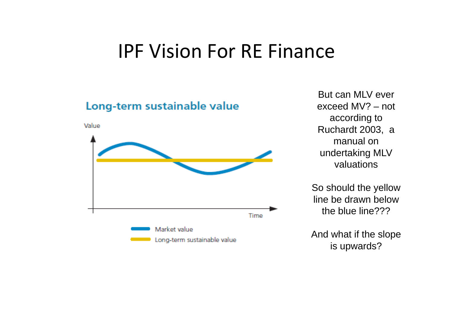#### IPF Vision For RE Finance



But can MLV ever exceed MV? – not according to Ruchardt 2003, a manual on undertaking MLV valuations

So should the yellow line be drawn below the blue line???

And what if the slope is upwards?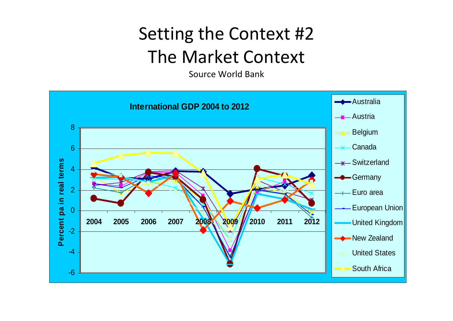#### Setting the Context #2 The Market Context

Source World Bank

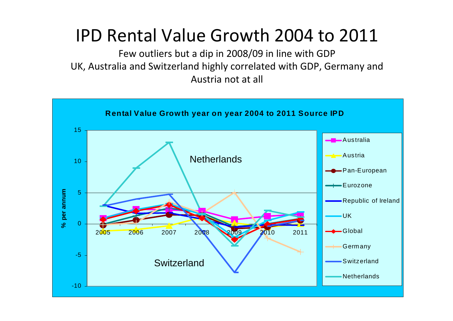#### IPD Rental Value Growth 2004 to 2011

Few outliers but <sup>a</sup> dip in 2008/09 in line with GDP UK, Australia and Switzerland highly correlated with GDP, Germany and Austria not at all

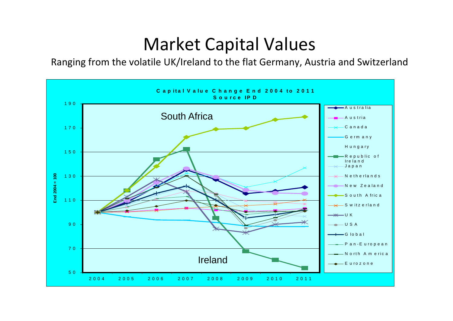#### Market Capital Values

Ranging from the volatile UK/Ireland to the flat Germany, Austria and Switzerland

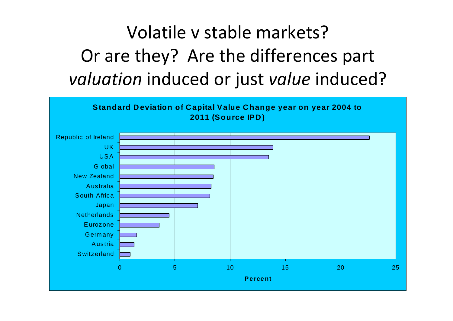## Volatile <sup>v</sup> stable markets? Or are they? Are the differences part *valuation* induced or just *value* induced?

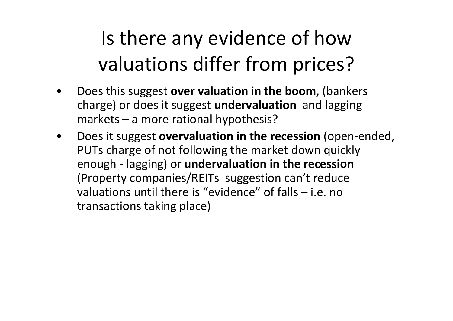# Is there any evidence of how valuations differ from prices?

- • Does this suggest **over valuation in the boom**, (bankers charge) or does it suggest **undervaluation** and lagging markets – a more rational hypothesis?
- • Does it suggest **overvaluation in the recession** (open‐ended, PUTs charge of not following the market down quickly enough ‐ lagging) or **undervaluation in the recession** (Property companies/REITs suggestion can't reduce valuations until there is "evidence" of falls – i.e. notransactions taking place)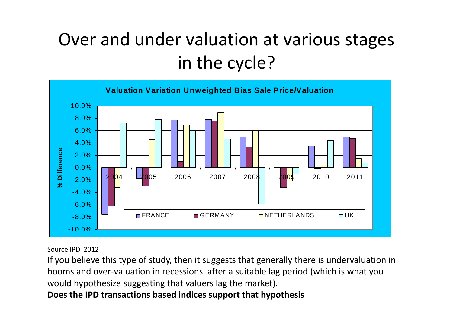### Over and under valuation at various stages in the cycle?



Source IPD 2012

If you believe this type of study, then it suggests that generally there is undervaluation in booms and over‐valuation in recessions after <sup>a</sup> suitable lag period (which is what you would hypothesize suggesting that valuers lag the market).

**Does the IPD transactions based indices support that hypothesis**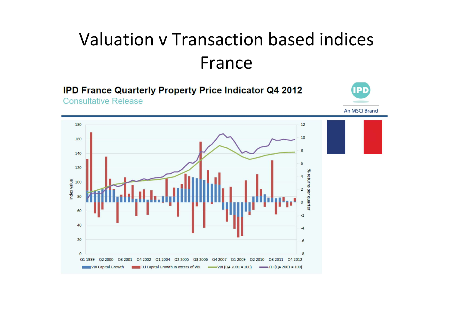#### Valuation <sup>v</sup> Transaction based indices France

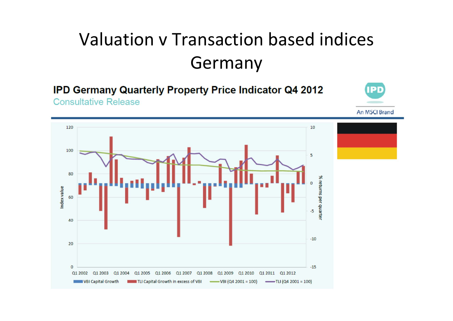## Valuation <sup>v</sup> Transaction based indices Germany

**IPD Germany Quarterly Property Price Indicator Q4 2012 Consultative Release** 



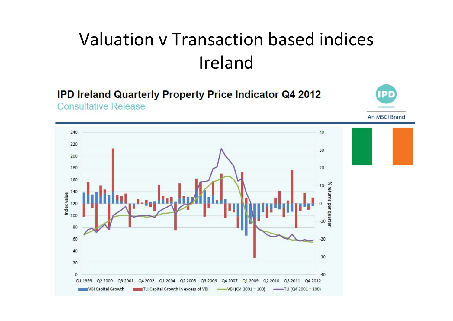#### Valuation <sup>v</sup> Transaction based indices Ireland

**IPD Ireland Quarterly Property Price Indicator Q4 2012 Consultative Release** 

An MSCI Brand

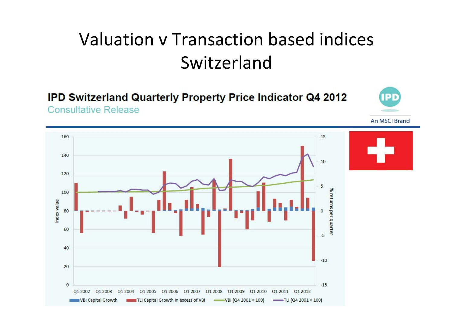#### Valuation <sup>v</sup> Transaction based indices Switzerland

 $\bullet$ 

**IPD Switzerland Quarterly Property Price Indicator Q4 2012 Consultative Release** 

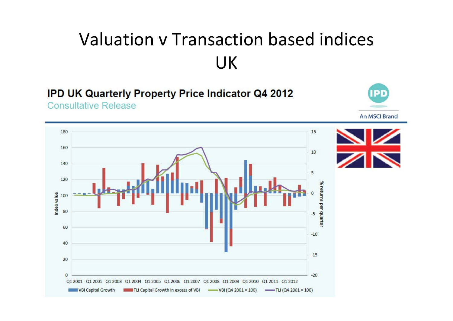## Valuation <sup>v</sup> Transaction based indices UK

#### **IPD UK Quarterly Property Price Indicator Q4 2012**

**Consultative Release** 



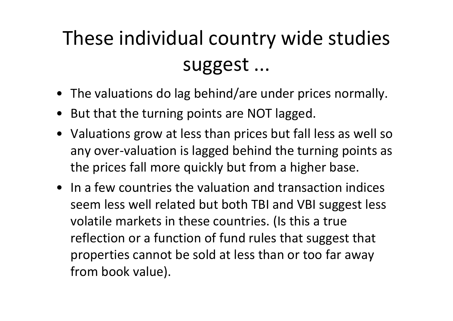# These individual country wide studies suggest ...

- The valuations do lag behind/are under prices normally.
- But that the turning points are NOT lagged.
- Valuations grow at less than prices but fall less as well so any over‐valuation is lagged behind the turning points as the prices fall more quickly but from <sup>a</sup> higher base.
- In <sup>a</sup> few countries the valuation and transaction indices seem less well related but both TBI and VBI suggest less volatile markets in these countries. (Is this <sup>a</sup> true reflection or <sup>a</sup> function of fund rules that suggest that properties cannot be sold at less than or too far away from book value).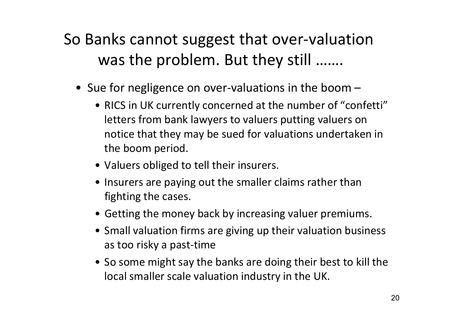#### So Banks cannot suggest that over‐valuation was the problem. But they still …….

- Sue for negligence on over‐valuations in the boom
	- RICS in UK currently concerned at the number of "confetti" letters from bank lawyers to valuers putting valuers on notice that they may be sued for valuations undertaken in the boom period.
	- Valuers obliged to tell their insurers.
	- Insurers are paying out the smaller claims rather than fighting the cases.
	- Getting the money back by increasing valuer premiums.
	- Small valuation firms are giving up their valuation business as too risky <sup>a</sup> past‐time
	- So some might say the banks are doing their best to kill the local smaller scale valuation industry in the UK.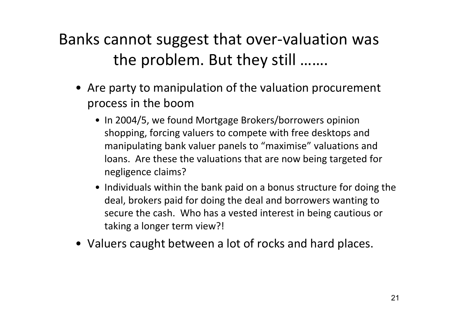#### Banks cannot suggest that over‐valuation was the problem. But they still …….

- Are party to manipulation of the valuation procurement process in the boom
	- In 2004/5, we found Mortgage Brokers/borrowers opinion shopping, forcing valuers to compete with free desktops and manipulating bank valuer panels to "maximise" valuations and loans. Are these the valuations that are now being targeted for negligence claims?
	- Individuals within the bank paid on <sup>a</sup> bonus structure for doing the deal, brokers paid for doing the deal and borrowers wanting to secure the cash. Who has <sup>a</sup> vested interest in being cautious or taking <sup>a</sup> longer term view?!
- Valuers caught between <sup>a</sup> lot of rocks and hard places.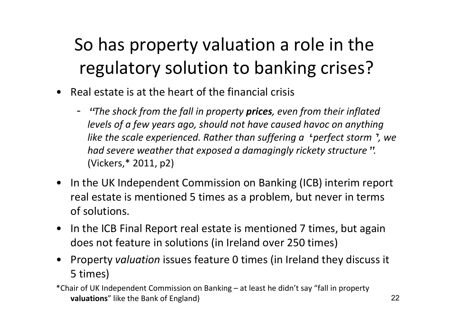## So has property valuation <sup>a</sup> role in the regulatory solution to banking crises?

- Real estate is at the heart of the financial crisis
	- "*The shock from the fall in property prices, even from their inflated levels of <sup>a</sup> few years ago, should not have caused havoc on anything like the scale experienced. Rather than suffering <sup>a</sup>* '*perfect storm*'*, we had severe weather that exposed <sup>a</sup> damagingly rickety structure*"*.* (Vickers,\* 2011, p2)
- In the UK Independent Commission on Banking (ICB) interim report real estate is mentioned 5 times as <sup>a</sup> problem, but never in terms of solutions.
- In the ICB Final Report real estate is mentioned 7 times, but again does not feature in solutions (in Ireland over 250 times)
- • Property *valuation* issues feature 0 times (in Ireland they discuss it 5 times)

\*Chair of UK Independent Commission on Banking – at least he didn't say "fall in property **valuations**" like the Bank of England)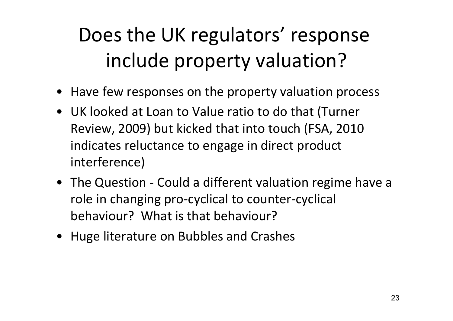# Does the UK regulators' response include property valuation?

- Have few responses on the property valuation process
- UK looked at Loan to Value ratio to do that (Turner Review, 2009) but kicked that into touch (FSA, 2010 indicates reluctance to engage in direct product interference)
- The Question ‐ Could <sup>a</sup> different valuation regime have <sup>a</sup> role in changing pro‐cyclical to counter‐cyclical behaviour? What is that behaviour?
- Huge literature on Bubbles and Crashes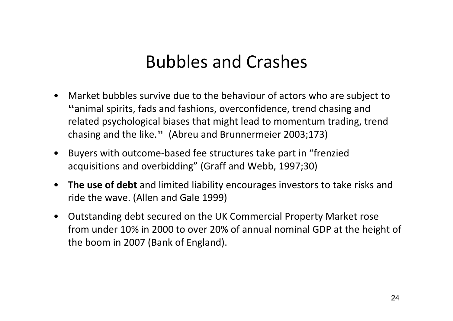#### Bubbles and Crashes

- • Market bubbles survive due to the behaviour of actors who are subject to "animal spirits, fads and fashions, overconfidence, trend chasing and related psychological biases that might lead to momentum trading, trend chasing and the like." (Abreu and Brunnermeier 2003;173)
- Buyers with outcome‐based fee structures take part in "frenzied acquisitions and overbidding" (Graff and Webb, 1997;30)
- **The use of debt** and limited liability encourages investors to take risks and ride the wave. (Allen and Gale 1999)
- Outstanding debt secured on the UK Commercial Property Market rose from under 10% in 2000 to over 20% of annual nominal GDP at the height of the boom in 2007 (Bank of England).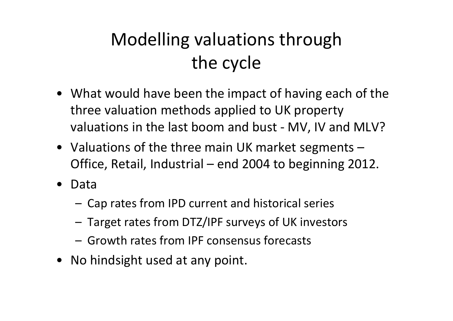## Modelling valuations through the cycle

- What would have been the impact of having each of the three valuation methods applied to UK property valuations in the last boom and bust ‐ MV, IV and MLV?
- Valuations of the three main UK market segments Office, Retail, Industrial – end 2004 to beginning 2012.
- $\bullet$  Data
	- Cap rates from IPD current and historical series
	- Target rates from DTZ/IPF surveys of UK investors
	- Growth rates from IPF consensus forecasts
- No hindsight used at any point.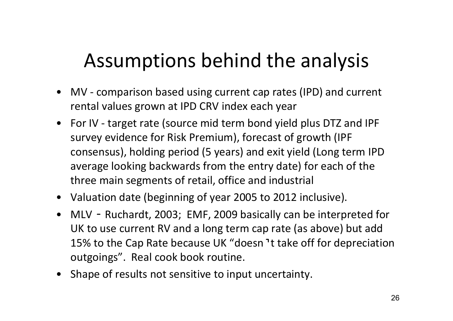# Assumptions behind the analysis

- MV ‐ comparison based using current cap rates (IPD) and current rental values grown at IPD CRV index each year
- For IV ‐ target rate (source mid term bond yield plus DTZ and IPF survey evidence for Risk Premium), forecast of growth (IPF consensus), holding period (5 years) and exit yield (Long term IPD average looking backwards from the entry date) for each of the three main segments of retail, office and industrial
- Valuation date (beginning of year 2005 to 2012 inclusive).
- MLV Ruchardt, 2003; EMF, 2009 basically can be interpreted for UK to use current RV and <sup>a</sup> long term cap rate (as above) but add 15% to the Cap Rate because UK "doesn'<sup>t</sup> take off for depreciation outgoings". Real cook book routine.
- Shape of results not sensitive to input uncertainty.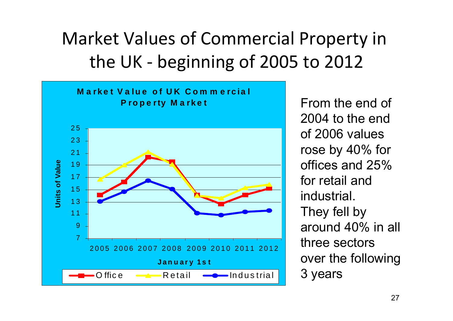## Market Values of Commercial Property in the UK ‐ beginning of 2005 to 2012



From the end of 2004 to the end of 2006 values rose by 40% for offices and 25% for retail and industrial.They fell by around 40% in all three sectors over the following 3 years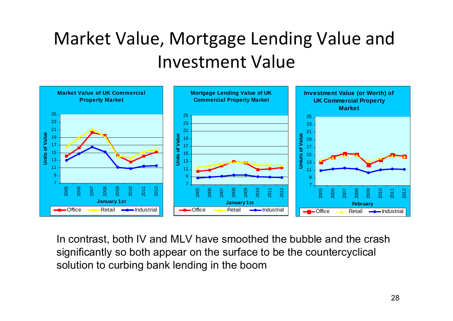## Market Value, Mortgage Lending Value and Investment Value



In contrast, both IV and MLV have smoothed the bubble and the crash significantly so both appear on the surface to be the countercyclical solution to curbing bank lending in the boom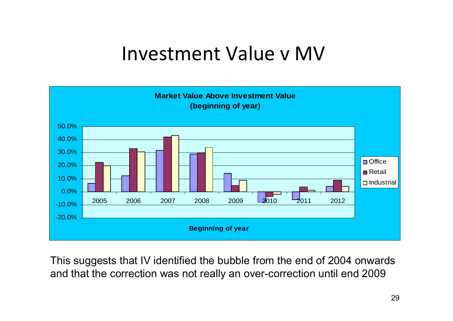#### Investment Value v MV



This suggests that IV identified the bubble from the end of 2004 onwards and that the correction was not really an over-correction until end 2009